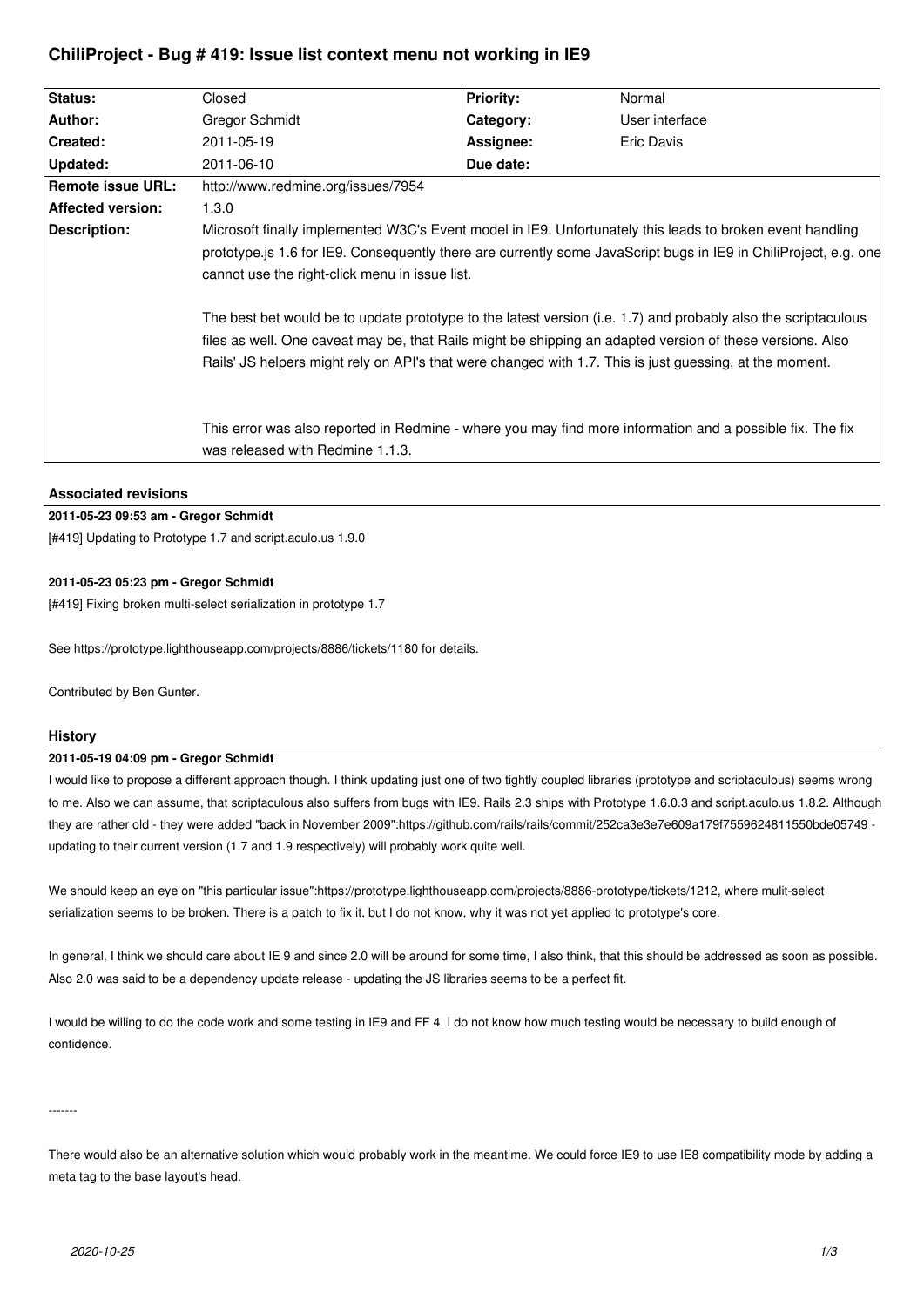# **ChiliProject - Bug # 419: Issue list context menu not working in IE9**

| Status:                  | Closed                                                                                                                                                                                                                                                                                                                                                                                                                                                                                                                                                                                                                     | <b>Priority:</b> | Normal                                                                                                    |
|--------------------------|----------------------------------------------------------------------------------------------------------------------------------------------------------------------------------------------------------------------------------------------------------------------------------------------------------------------------------------------------------------------------------------------------------------------------------------------------------------------------------------------------------------------------------------------------------------------------------------------------------------------------|------------------|-----------------------------------------------------------------------------------------------------------|
| Author:                  | Gregor Schmidt                                                                                                                                                                                                                                                                                                                                                                                                                                                                                                                                                                                                             | Category:        | User interface                                                                                            |
| Created:                 | 2011-05-19                                                                                                                                                                                                                                                                                                                                                                                                                                                                                                                                                                                                                 | Assignee:        | Eric Davis                                                                                                |
| <b>Updated:</b>          | 2011-06-10                                                                                                                                                                                                                                                                                                                                                                                                                                                                                                                                                                                                                 | Due date:        |                                                                                                           |
| Remote issue URL:        | http://www.redmine.org/issues/7954                                                                                                                                                                                                                                                                                                                                                                                                                                                                                                                                                                                         |                  |                                                                                                           |
| <b>Affected version:</b> | 1.3.0                                                                                                                                                                                                                                                                                                                                                                                                                                                                                                                                                                                                                      |                  |                                                                                                           |
| Description:             | Microsoft finally implemented W3C's Event model in IE9. Unfortunately this leads to broken event handling<br>prototype. is 1.6 for IE9. Consequently there are currently some JavaScript bugs in IE9 in ChiliProject, e.g. one<br>cannot use the right-click menu in issue list.<br>The best bet would be to update prototype to the latest version (i.e. 1.7) and probably also the scriptaculous<br>files as well. One caveat may be, that Rails might be shipping an adapted version of these versions. Also<br>Rails' JS helpers might rely on API's that were changed with 1.7. This is just guessing, at the moment. |                  |                                                                                                           |
|                          | was released with Redmine 1.1.3.                                                                                                                                                                                                                                                                                                                                                                                                                                                                                                                                                                                           |                  | This error was also reported in Redmine - where you may find more information and a possible fix. The fix |

## **Associated revisions**

## **2011-05-23 09:53 am - Gregor Schmidt**

[#419] Updating to Prototype 1.7 and script.aculo.us 1.9.0

## **2011-05-23 05:23 pm - Gregor Schmidt**

[#419] Fixing broken multi-select serialization in prototype 1.7

See https://prototype.lighthouseapp.com/projects/8886/tickets/1180 for details.

Contributed by Ben Gunter.

## **History**

### **2011-05-19 04:09 pm - Gregor Schmidt**

I would like to propose a different approach though. I think updating just one of two tightly coupled libraries (prototype and scriptaculous) seems wrong to me. Also we can assume, that scriptaculous also suffers from bugs with IE9. Rails 2.3 ships with Prototype 1.6.0.3 and script.aculo.us 1.8.2. Although they are rather old - they were added "back in November 2009":https://github.com/rails/rails/commit/252ca3e3e7e609a179f7559624811550bde05749 updating to their current version (1.7 and 1.9 respectively) will probably work quite well.

We should keep an eye on "this particular issue":https://prototype.lighthouseapp.com/projects/8886-prototype/tickets/1212, where mulit-select serialization seems to be broken. There is a patch to fix it, but I do not know, why it was not yet applied to prototype's core.

In general, I think we should care about IE 9 and since 2.0 will be around for some time, I also think, that this should be addressed as soon as possible. Also 2.0 was said to be a dependency update release - updating the JS libraries seems to be a perfect fit.

I would be willing to do the code work and some testing in IE9 and FF 4. I do not know how much testing would be necessary to build enough of confidence.

-------

There would also be an alternative solution which would probably work in the meantime. We could force IE9 to use IE8 compatibility mode by adding a meta tag to the base layout's head.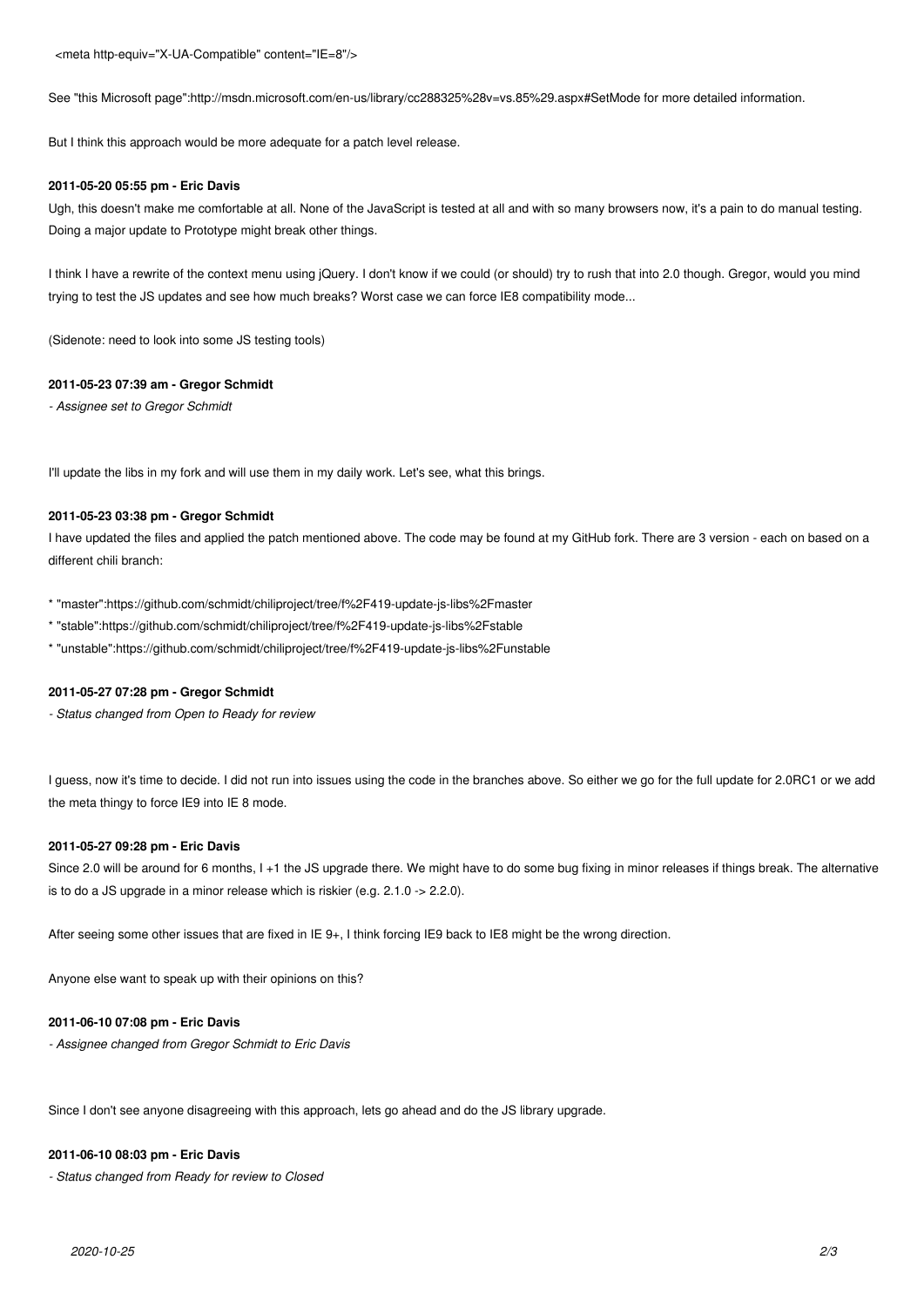<meta http-equiv="X-UA-Compatible" content="IE=8"/>

See "this Microsoft page":http://msdn.microsoft.com/en-us/library/cc288325%28v=vs.85%29.aspx#SetMode for more detailed information.

But I think this approach would be more adequate for a patch level release.

#### **2011-05-20 05:55 pm - Eric Davis**

Ugh, this doesn't make me comfortable at all. None of the JavaScript is tested at all and with so many browsers now, it's a pain to do manual testing. Doing a major update to Prototype might break other things.

I think I have a rewrite of the context menu using jQuery. I don't know if we could (or should) try to rush that into 2.0 though. Gregor, would you mind trying to test the JS updates and see how much breaks? Worst case we can force IE8 compatibility mode...

(Sidenote: need to look into some JS testing tools)

#### **2011-05-23 07:39 am - Gregor Schmidt**

*- Assignee set to Gregor Schmidt*

I'll update the libs in my fork and will use them in my daily work. Let's see, what this brings.

## **2011-05-23 03:38 pm - Gregor Schmidt**

I have updated the files and applied the patch mentioned above. The code may be found at my GitHub fork. There are 3 version - each on based on a different chili branch:

\* "master":https://github.com/schmidt/chiliproject/tree/f%2F419-update-js-libs%2Fmaster

\* "stable":https://github.com/schmidt/chiliproject/tree/f%2F419-update-js-libs%2Fstable

\* "unstable":https://github.com/schmidt/chiliproject/tree/f%2F419-update-js-libs%2Funstable

## **2011-05-27 07:28 pm - Gregor Schmidt**

*- Status changed from Open to Ready for review*

I guess, now it's time to decide. I did not run into issues using the code in the branches above. So either we go for the full update for 2.0RC1 or we add the meta thingy to force IE9 into IE 8 mode.

#### **2011-05-27 09:28 pm - Eric Davis**

Since 2.0 will be around for 6 months, I +1 the JS upgrade there. We might have to do some bug fixing in minor releases if things break. The alternative is to do a JS upgrade in a minor release which is riskier (e.g. 2.1.0 -> 2.2.0).

After seeing some other issues that are fixed in IE 9+, I think forcing IE9 back to IE8 might be the wrong direction.

Anyone else want to speak up with their opinions on this?

#### **2011-06-10 07:08 pm - Eric Davis**

*- Assignee changed from Gregor Schmidt to Eric Davis*

Since I don't see anyone disagreeing with this approach, lets go ahead and do the JS library upgrade.

#### **2011-06-10 08:03 pm - Eric Davis**

*- Status changed from Ready for review to Closed*